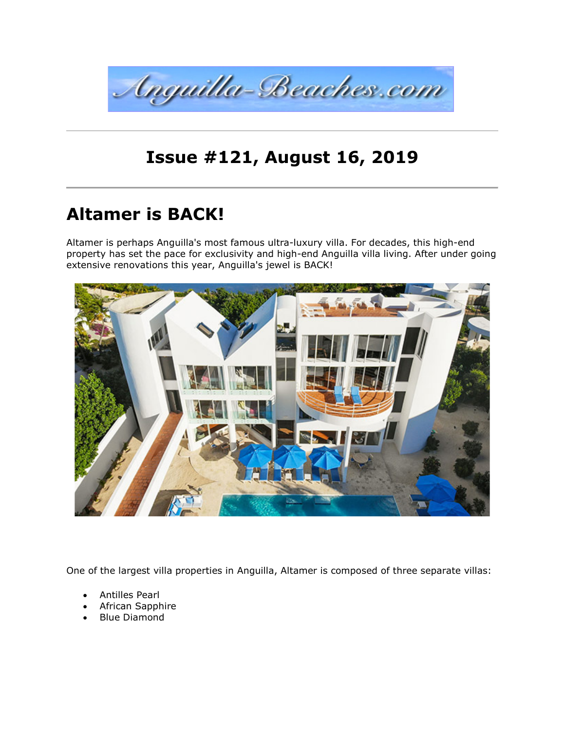

## **Issue #121, August 16, 2019**

## **Altamer is BACK!**

Altamer is perhaps Anguilla's most famous ultra-luxury villa. For decades, this high-end property has set the pace for exclusivity and high-end Anguilla villa living. After under going extensive renovations this year, Anguilla's jewel is BACK!



One of the largest villa properties in Anguilla, Altamer is composed of three separate villas:

- Antilles Pearl
- African Sapphire
- Blue Diamond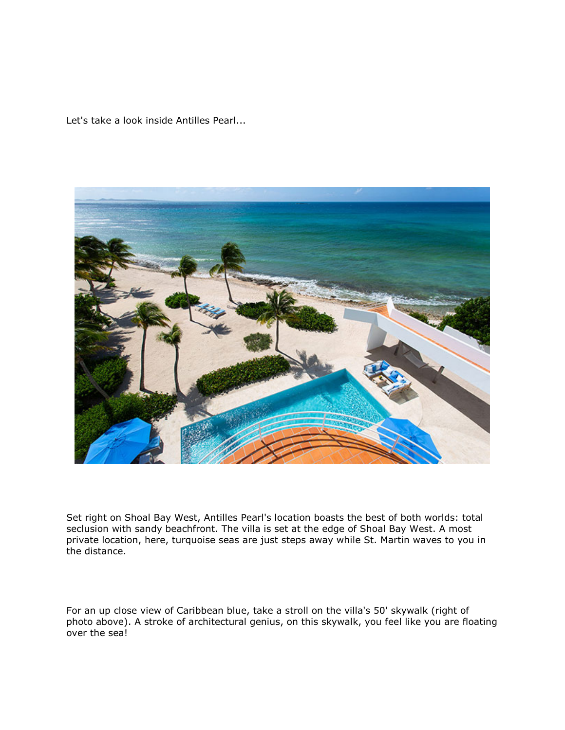Let's take a look inside Antilles Pearl...



Set right on Shoal Bay West, Antilles Pearl's location boasts the best of both worlds: total seclusion with sandy beachfront. The villa is set at the edge of Shoal Bay West. A most private location, here, turquoise seas are just steps away while St. Martin waves to you in the distance.

For an up close view of Caribbean blue, take a stroll on the villa's 50' skywalk (right of photo above). A stroke of architectural genius, on this skywalk, you feel like you are floating over the sea!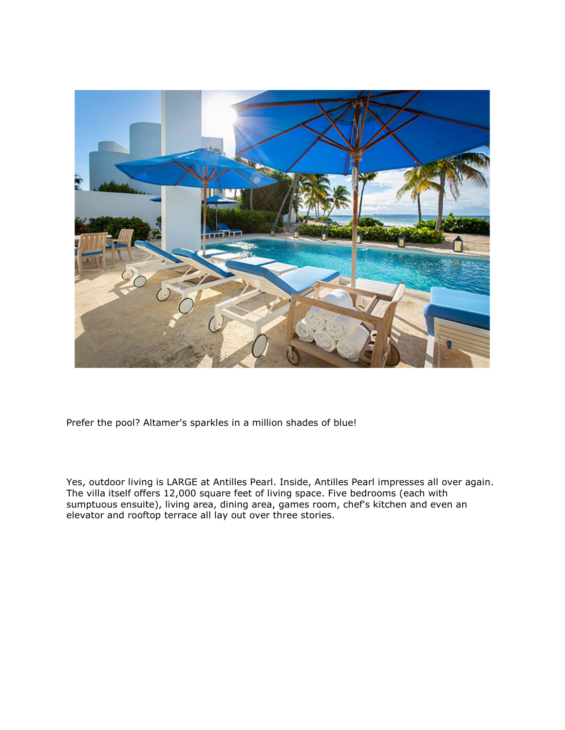

Prefer the pool? Altamer's sparkles in a million shades of blue!

Yes, outdoor living is LARGE at Antilles Pearl. Inside, Antilles Pearl impresses all over again. The villa itself offers 12,000 square feet of living space. Five bedrooms (each with sumptuous ensuite), living area, dining area, games room, chef's kitchen and even an elevator and rooftop terrace all lay out over three stories.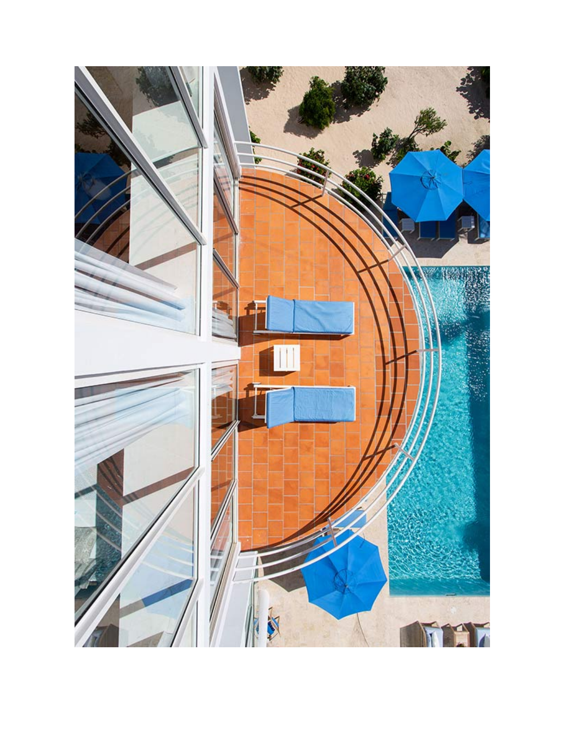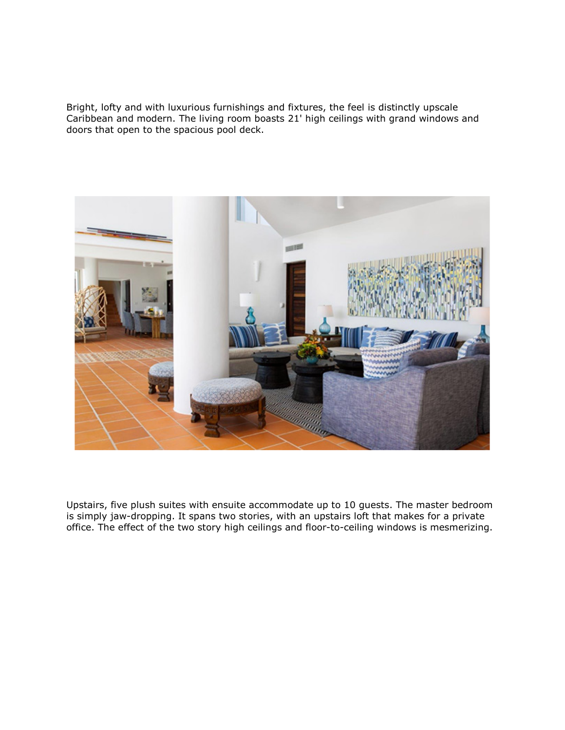Bright, lofty and with luxurious furnishings and fixtures, the feel is distinctly upscale Caribbean and modern. The living room boasts 21' high ceilings with grand windows and doors that open to the spacious pool deck.



Upstairs, five plush suites with ensuite accommodate up to 10 guests. The master bedroom is simply jaw-dropping. It spans two stories, with an upstairs loft that makes for a private office. The effect of the two story high ceilings and floor-to-ceiling windows is mesmerizing.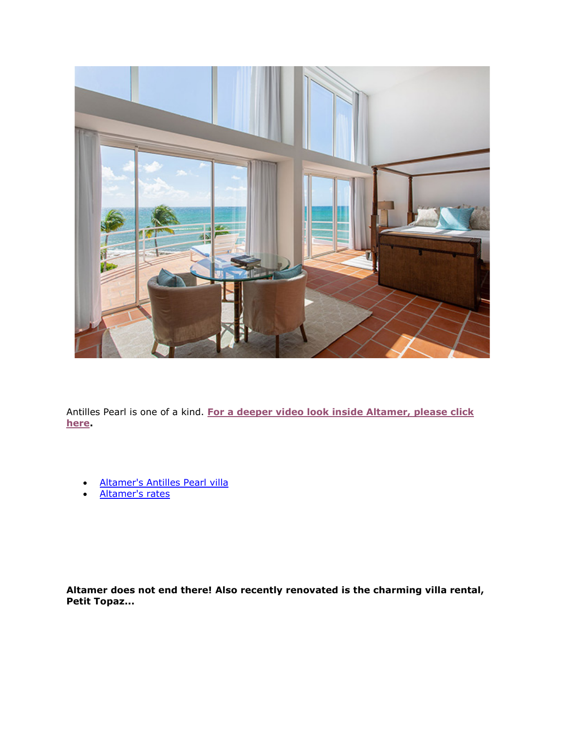

Antilles Pearl is one of a kind. **[For a deeper video look inside Altamer, please click](https://urldefense.proofpoint.com/v2/url?u=https-3A__www.instagram.com_s_aGlnaGxpZ2h0OjE3ODU5NDAwMDYzNDQ2Njgz-3Figshid-3D1xl093k7sokl-26story-5Fmedia-5Fid-3D2082145783784080302&d=DwMFaQ&c=euGZstcaTDllvimEN8b7jXrwqOf-v5A_CdpgnVfiiMM&r=ChFlBsjX-5sjn8kHQ2hi4GuugXVK5YKT1HknUTnn-Is&m=03ymRvj6n-Wg4maYvSpA_iUHsH8veYoU8MeYL25tu9Y&s=4FQotEFY08mAoc3jH4LAhx96oitlJASuFuAeusxiPTQ&e=)  [here.](https://urldefense.proofpoint.com/v2/url?u=https-3A__www.instagram.com_s_aGlnaGxpZ2h0OjE3ODU5NDAwMDYzNDQ2Njgz-3Figshid-3D1xl093k7sokl-26story-5Fmedia-5Fid-3D2082145783784080302&d=DwMFaQ&c=euGZstcaTDllvimEN8b7jXrwqOf-v5A_CdpgnVfiiMM&r=ChFlBsjX-5sjn8kHQ2hi4GuugXVK5YKT1HknUTnn-Is&m=03ymRvj6n-Wg4maYvSpA_iUHsH8veYoU8MeYL25tu9Y&s=4FQotEFY08mAoc3jH4LAhx96oitlJASuFuAeusxiPTQ&e=)**

- [Altamer's Antilles Pearl villa](https://urldefense.proofpoint.com/v2/url?u=http-3A__bit.ly_2TBC47m&d=DwMFaQ&c=euGZstcaTDllvimEN8b7jXrwqOf-v5A_CdpgnVfiiMM&r=ChFlBsjX-5sjn8kHQ2hi4GuugXVK5YKT1HknUTnn-Is&m=03ymRvj6n-Wg4maYvSpA_iUHsH8veYoU8MeYL25tu9Y&s=mEV7eMGXcrf0XDm47yFd5zRvenk4TkFcR-R1kkbCwI0&e=)
- [Altamer's rates](https://urldefense.proofpoint.com/v2/url?u=http-3A__bit.ly_2TCBJBA&d=DwMFaQ&c=euGZstcaTDllvimEN8b7jXrwqOf-v5A_CdpgnVfiiMM&r=ChFlBsjX-5sjn8kHQ2hi4GuugXVK5YKT1HknUTnn-Is&m=03ymRvj6n-Wg4maYvSpA_iUHsH8veYoU8MeYL25tu9Y&s=VYEA7_fVj2loTrMpFtAS0c0YQE1WrBWw6jJXxqNcbo0&e=)

**Altamer does not end there! Also recently renovated is the charming villa rental, Petit Topaz...**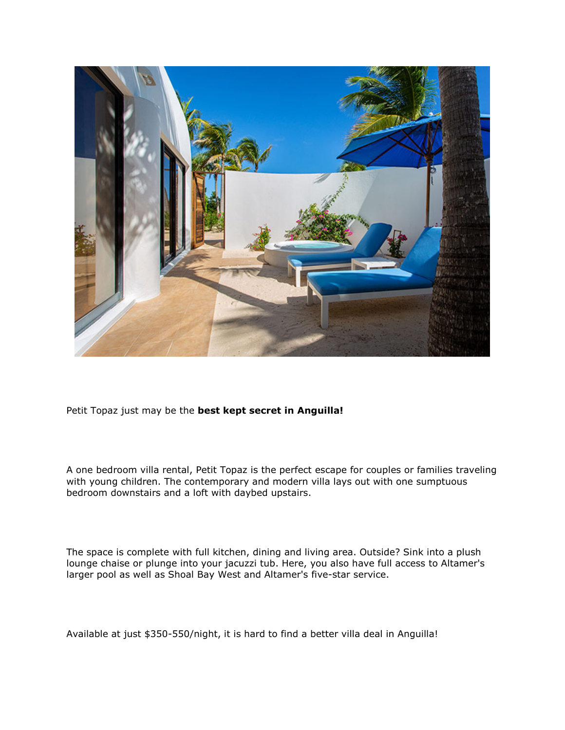

Petit Topaz just may be the **best kept secret in Anguilla!**

A one bedroom villa rental, Petit Topaz is the perfect escape for couples or families traveling with young children. The contemporary and modern villa lays out with one sumptuous bedroom downstairs and a loft with daybed upstairs.

The space is complete with full kitchen, dining and living area. Outside? Sink into a plush lounge chaise or plunge into your jacuzzi tub. Here, you also have full access to Altamer's larger pool as well as Shoal Bay West and Altamer's five-star service.

Available at just \$350-550/night, it is hard to find a better villa deal in Anguilla!